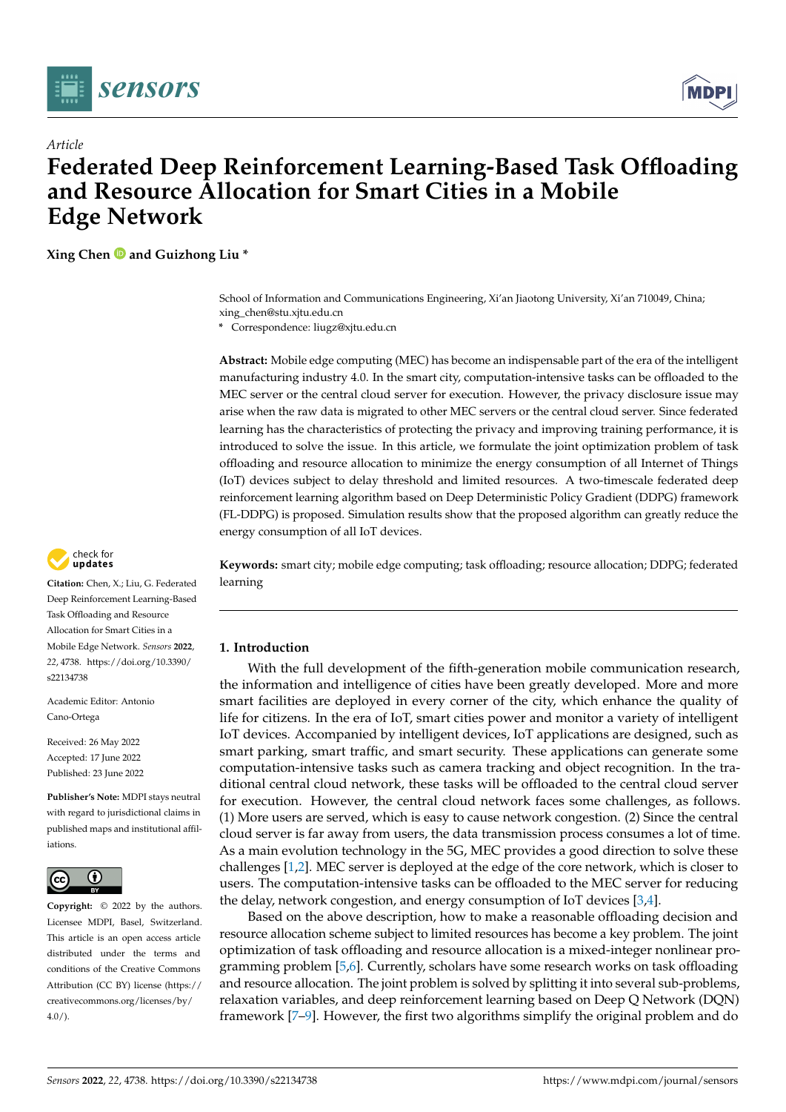



# *Article* **Federated Deep Reinforcement Learning-Based Task Offloading and Resource Allocation for Smart Cities in a Mobile Edge Network**

**Xing Chen and Guizhong Liu \***

School of Information and Communications Engineering, Xi'an Jiaotong University, Xi'an 710049, China; xing\_chen@stu.xjtu.edu.cn

**\*** Correspondence: liugz@xjtu.edu.cn

**Abstract:** Mobile edge computing (MEC) has become an indispensable part of the era of the intelligent manufacturing industry 4.0. In the smart city, computation-intensive tasks can be offloaded to the MEC server or the central cloud server for execution. However, the privacy disclosure issue may arise when the raw data is migrated to other MEC servers or the central cloud server. Since federated learning has the characteristics of protecting the privacy and improving training performance, it is introduced to solve the issue. In this article, we formulate the joint optimization problem of task offloading and resource allocation to minimize the energy consumption of all Internet of Things (IoT) devices subject to delay threshold and limited resources. A two-timescale federated deep reinforcement learning algorithm based on Deep Deterministic Policy Gradient (DDPG) framework (FL-DDPG) is proposed. Simulation results show that the proposed algorithm can greatly reduce the energy consumption of all IoT devices.



**Citation:** Chen, X.; Liu, G. Federated Deep Reinforcement Learning-Based Task Offloading and Resource Allocation for Smart Cities in a Mobile Edge Network. *Sensors* **2022**, *22*, 4738. [https://doi.org/10.3390/](https://doi.org/10.3390/s22134738) [s22134738](https://doi.org/10.3390/s22134738)

Academic Editor: Antonio Cano-Ortega

Received: 26 May 2022 Accepted: 17 June 2022 Published: 23 June 2022

**Publisher's Note:** MDPI stays neutral with regard to jurisdictional claims in published maps and institutional affiliations.



**Copyright:** © 2022 by the authors. Licensee MDPI, Basel, Switzerland. This article is an open access article distributed under the terms and conditions of the Creative Commons Attribution (CC BY) license [\(https://](https://creativecommons.org/licenses/by/4.0/) [creativecommons.org/licenses/by/](https://creativecommons.org/licenses/by/4.0/)  $4.0/$ ).

**Keywords:** smart city; mobile edge computing; task offloading; resource allocation; DDPG; federated learning

# **1. Introduction**

With the full development of the fifth-generation mobile communication research, the information and intelligence of cities have been greatly developed. More and more smart facilities are deployed in every corner of the city, which enhance the quality of life for citizens. In the era of IoT, smart cities power and monitor a variety of intelligent IoT devices. Accompanied by intelligent devices, IoT applications are designed, such as smart parking, smart traffic, and smart security. These applications can generate some computation-intensive tasks such as camera tracking and object recognition. In the traditional central cloud network, these tasks will be offloaded to the central cloud server for execution. However, the central cloud network faces some challenges, as follows. (1) More users are served, which is easy to cause network congestion. (2) Since the central cloud server is far away from users, the data transmission process consumes a lot of time. As a main evolution technology in the 5G, MEC provides a good direction to solve these challenges [\[1](#page-17-0)[,2\]](#page-17-1). MEC server is deployed at the edge of the core network, which is closer to users. The computation-intensive tasks can be offloaded to the MEC server for reducing the delay, network congestion, and energy consumption of IoT devices [\[3](#page-17-2)[,4\]](#page-17-3).

Based on the above description, how to make a reasonable offloading decision and resource allocation scheme subject to limited resources has become a key problem. The joint optimization of task offloading and resource allocation is a mixed-integer nonlinear programming problem [\[5](#page-17-4)[,6\]](#page-17-5). Currently, scholars have some research works on task offloading and resource allocation. The joint problem is solved by splitting it into several sub-problems, relaxation variables, and deep reinforcement learning based on Deep Q Network (DQN) framework [\[7](#page-17-6)[–9\]](#page-17-7). However, the first two algorithms simplify the original problem and do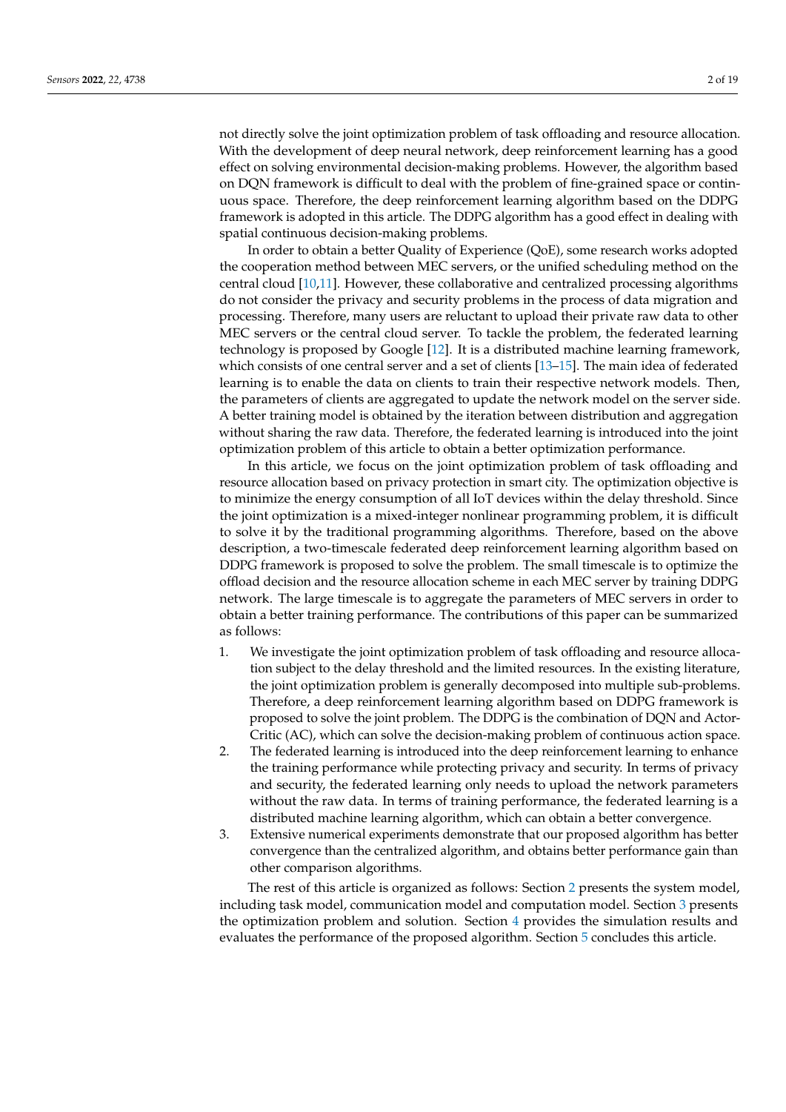not directly solve the joint optimization problem of task offloading and resource allocation. With the development of deep neural network, deep reinforcement learning has a good effect on solving environmental decision-making problems. However, the algorithm based on DQN framework is difficult to deal with the problem of fine-grained space or continuous space. Therefore, the deep reinforcement learning algorithm based on the DDPG framework is adopted in this article. The DDPG algorithm has a good effect in dealing with spatial continuous decision-making problems.

In order to obtain a better Quality of Experience (QoE), some research works adopted the cooperation method between MEC servers, or the unified scheduling method on the central cloud [\[10,](#page-17-8)[11\]](#page-17-9). However, these collaborative and centralized processing algorithms do not consider the privacy and security problems in the process of data migration and processing. Therefore, many users are reluctant to upload their private raw data to other MEC servers or the central cloud server. To tackle the problem, the federated learning technology is proposed by Google [\[12\]](#page-17-10). It is a distributed machine learning framework, which consists of one central server and a set of clients [\[13–](#page-17-11)[15\]](#page-17-12). The main idea of federated learning is to enable the data on clients to train their respective network models. Then, the parameters of clients are aggregated to update the network model on the server side. A better training model is obtained by the iteration between distribution and aggregation without sharing the raw data. Therefore, the federated learning is introduced into the joint optimization problem of this article to obtain a better optimization performance.

In this article, we focus on the joint optimization problem of task offloading and resource allocation based on privacy protection in smart city. The optimization objective is to minimize the energy consumption of all IoT devices within the delay threshold. Since the joint optimization is a mixed-integer nonlinear programming problem, it is difficult to solve it by the traditional programming algorithms. Therefore, based on the above description, a two-timescale federated deep reinforcement learning algorithm based on DDPG framework is proposed to solve the problem. The small timescale is to optimize the offload decision and the resource allocation scheme in each MEC server by training DDPG network. The large timescale is to aggregate the parameters of MEC servers in order to obtain a better training performance. The contributions of this paper can be summarized as follows:

- 1. We investigate the joint optimization problem of task offloading and resource allocation subject to the delay threshold and the limited resources. In the existing literature, the joint optimization problem is generally decomposed into multiple sub-problems. Therefore, a deep reinforcement learning algorithm based on DDPG framework is proposed to solve the joint problem. The DDPG is the combination of DQN and Actor-Critic (AC), which can solve the decision-making problem of continuous action space.
- 2. The federated learning is introduced into the deep reinforcement learning to enhance the training performance while protecting privacy and security. In terms of privacy and security, the federated learning only needs to upload the network parameters without the raw data. In terms of training performance, the federated learning is a distributed machine learning algorithm, which can obtain a better convergence.
- 3. Extensive numerical experiments demonstrate that our proposed algorithm has better convergence than the centralized algorithm, and obtains better performance gain than other comparison algorithms.

The rest of this article is organized as follows: Section [2](#page-2-0) presents the system model, including task model, communication model and computation model. Section [3](#page-3-0) presents the optimization problem and solution. Section [4](#page-5-0) provides the simulation results and evaluates the performance of the proposed algorithm. Section [5](#page-10-0) concludes this article.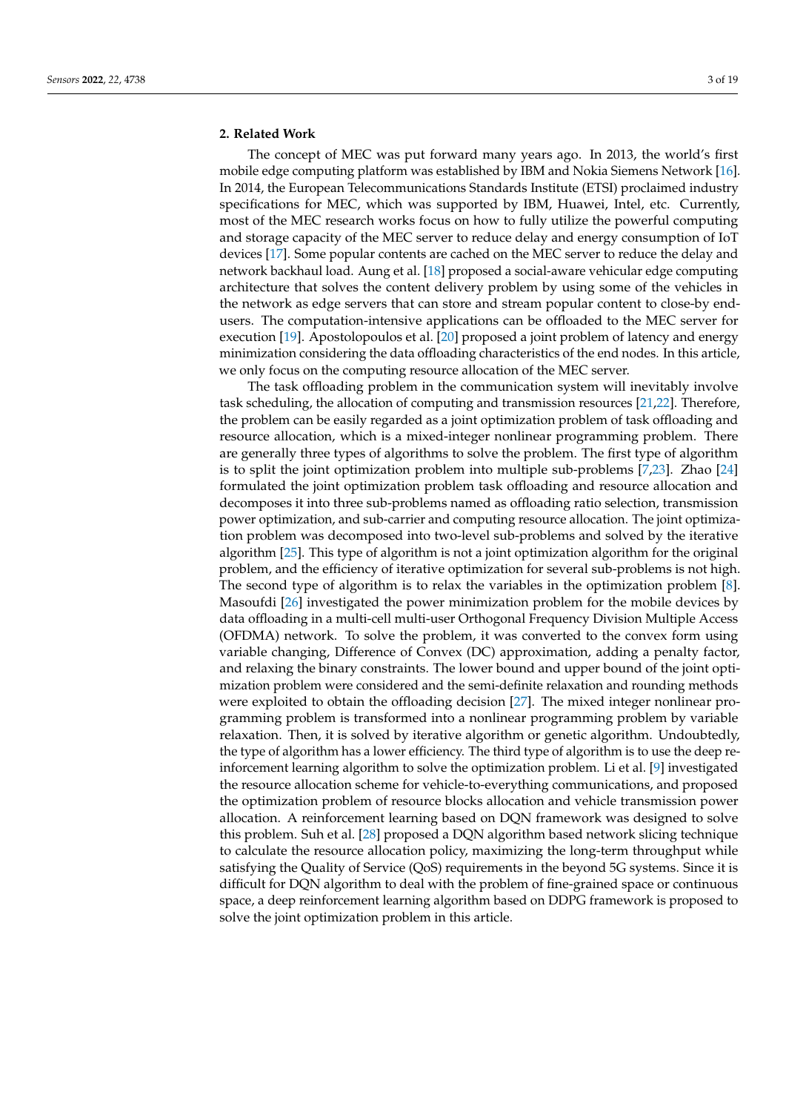#### <span id="page-2-0"></span>**2. Related Work**

The concept of MEC was put forward many years ago. In 2013, the world's first mobile edge computing platform was established by IBM and Nokia Siemens Network [\[16\]](#page-17-13). In 2014, the European Telecommunications Standards Institute (ETSI) proclaimed industry specifications for MEC, which was supported by IBM, Huawei, Intel, etc. Currently, most of the MEC research works focus on how to fully utilize the powerful computing and storage capacity of the MEC server to reduce delay and energy consumption of IoT devices [\[17\]](#page-17-14). Some popular contents are cached on the MEC server to reduce the delay and network backhaul load. Aung et al. [\[18\]](#page-17-15) proposed a social-aware vehicular edge computing architecture that solves the content delivery problem by using some of the vehicles in the network as edge servers that can store and stream popular content to close-by endusers. The computation-intensive applications can be offloaded to the MEC server for execution [\[19\]](#page-17-16). Apostolopoulos et al. [\[20\]](#page-17-17) proposed a joint problem of latency and energy minimization considering the data offloading characteristics of the end nodes. In this article, we only focus on the computing resource allocation of the MEC server.

The task offloading problem in the communication system will inevitably involve task scheduling, the allocation of computing and transmission resources [\[21](#page-17-18)[,22\]](#page-17-19). Therefore, the problem can be easily regarded as a joint optimization problem of task offloading and resource allocation, which is a mixed-integer nonlinear programming problem. There are generally three types of algorithms to solve the problem. The first type of algorithm is to split the joint optimization problem into multiple sub-problems [\[7,](#page-17-6)[23\]](#page-17-20). Zhao [\[24\]](#page-18-0) formulated the joint optimization problem task offloading and resource allocation and decomposes it into three sub-problems named as offloading ratio selection, transmission power optimization, and sub-carrier and computing resource allocation. The joint optimization problem was decomposed into two-level sub-problems and solved by the iterative algorithm [\[25\]](#page-18-1). This type of algorithm is not a joint optimization algorithm for the original problem, and the efficiency of iterative optimization for several sub-problems is not high. The second type of algorithm is to relax the variables in the optimization problem [\[8\]](#page-17-21). Masoufdi [\[26\]](#page-18-2) investigated the power minimization problem for the mobile devices by data offloading in a multi-cell multi-user Orthogonal Frequency Division Multiple Access (OFDMA) network. To solve the problem, it was converted to the convex form using variable changing, Difference of Convex (DC) approximation, adding a penalty factor, and relaxing the binary constraints. The lower bound and upper bound of the joint optimization problem were considered and the semi-definite relaxation and rounding methods were exploited to obtain the offloading decision [\[27\]](#page-18-3). The mixed integer nonlinear programming problem is transformed into a nonlinear programming problem by variable relaxation. Then, it is solved by iterative algorithm or genetic algorithm. Undoubtedly, the type of algorithm has a lower efficiency. The third type of algorithm is to use the deep reinforcement learning algorithm to solve the optimization problem. Li et al. [\[9\]](#page-17-7) investigated the resource allocation scheme for vehicle-to-everything communications, and proposed the optimization problem of resource blocks allocation and vehicle transmission power allocation. A reinforcement learning based on DQN framework was designed to solve this problem. Suh et al. [\[28\]](#page-18-4) proposed a DQN algorithm based network slicing technique to calculate the resource allocation policy, maximizing the long-term throughput while satisfying the Quality of Service (QoS) requirements in the beyond 5G systems. Since it is difficult for DQN algorithm to deal with the problem of fine-grained space or continuous space, a deep reinforcement learning algorithm based on DDPG framework is proposed to solve the joint optimization problem in this article.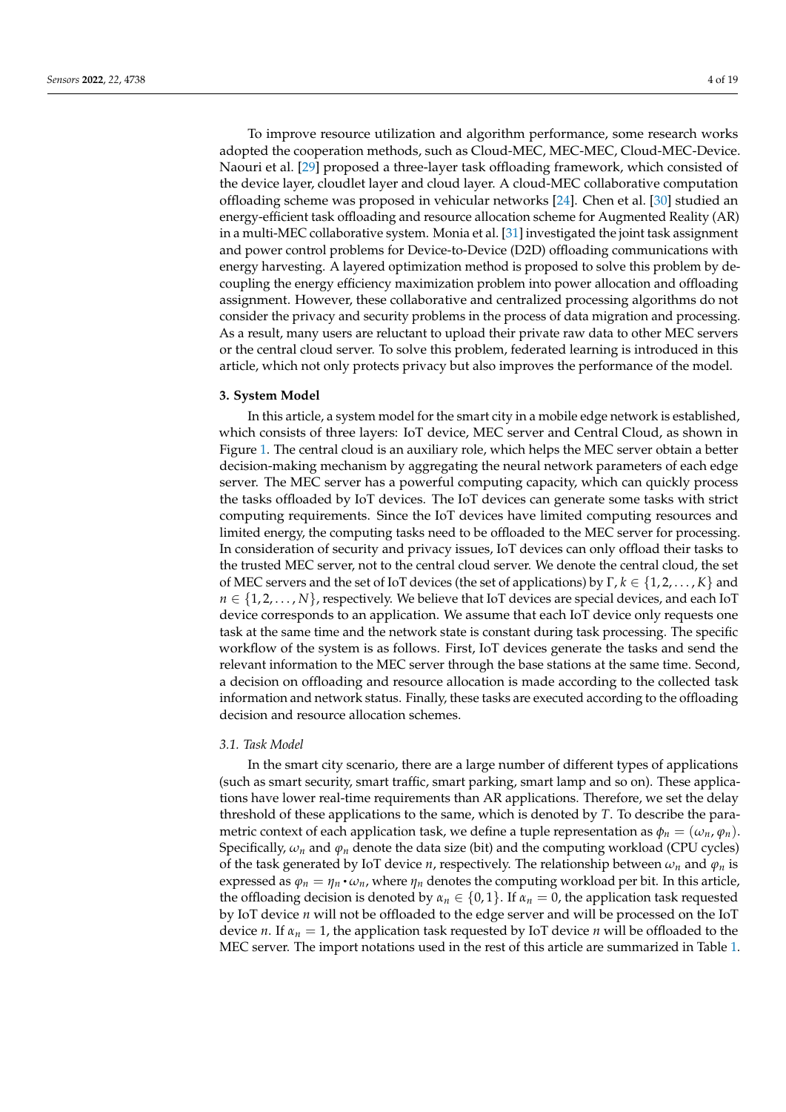To improve resource utilization and algorithm performance, some research works adopted the cooperation methods, such as Cloud-MEC, MEC-MEC, Cloud-MEC-Device. Naouri et al. [\[29\]](#page-18-5) proposed a three-layer task offloading framework, which consisted of the device layer, cloudlet layer and cloud layer. A cloud-MEC collaborative computation offloading scheme was proposed in vehicular networks [\[24\]](#page-18-0). Chen et al. [\[30\]](#page-18-6) studied an energy-efficient task offloading and resource allocation scheme for Augmented Reality (AR) in a multi-MEC collaborative system. Monia et al. [\[31\]](#page-18-7) investigated the joint task assignment and power control problems for Device-to-Device (D2D) offloading communications with energy harvesting. A layered optimization method is proposed to solve this problem by decoupling the energy efficiency maximization problem into power allocation and offloading assignment. However, these collaborative and centralized processing algorithms do not consider the privacy and security problems in the process of data migration and processing. As a result, many users are reluctant to upload their private raw data to other MEC servers or the central cloud server. To solve this problem, federated learning is introduced in this article, which not only protects privacy but also improves the performance of the model.

# <span id="page-3-0"></span>**3. System Model**

In this article, a system model for the smart city in a mobile edge network is established, which consists of three layers: IoT device, MEC server and Central Cloud, as shown in Figure [1.](#page-4-0) The central cloud is an auxiliary role, which helps the MEC server obtain a better decision-making mechanism by aggregating the neural network parameters of each edge server. The MEC server has a powerful computing capacity, which can quickly process the tasks offloaded by IoT devices. The IoT devices can generate some tasks with strict computing requirements. Since the IoT devices have limited computing resources and limited energy, the computing tasks need to be offloaded to the MEC server for processing. In consideration of security and privacy issues, IoT devices can only offload their tasks to the trusted MEC server, not to the central cloud server. We denote the central cloud, the set of MEC servers and the set of IoT devices (the set of applications) by Γ, *k* ∈ {1, 2, . . . , *K*} and  $n \in \{1, 2, \ldots, N\}$ , respectively. We believe that IoT devices are special devices, and each IoT device corresponds to an application. We assume that each IoT device only requests one task at the same time and the network state is constant during task processing. The specific workflow of the system is as follows. First, IoT devices generate the tasks and send the relevant information to the MEC server through the base stations at the same time. Second, a decision on offloading and resource allocation is made according to the collected task information and network status. Finally, these tasks are executed according to the offloading decision and resource allocation schemes.

#### *3.1. Task Model*

In the smart city scenario, there are a large number of different types of applications (such as smart security, smart traffic, smart parking, smart lamp and so on). These applications have lower real-time requirements than AR applications. Therefore, we set the delay threshold of these applications to the same, which is denoted by *T*. To describe the parametric context of each application task, we define a tuple representation as  $\phi_n = (\omega_n, \phi_n)$ . Specifically,  $\omega_n$  and  $\varphi_n$  denote the data size (bit) and the computing workload (CPU cycles) of the task generated by IoT device *n*, respectively. The relationship between  $\omega_n$  and  $\varphi_n$  is expressed as  $\varphi_n = \eta_n \cdot \omega_n$ , where  $\eta_n$  denotes the computing workload per bit. In this article, the offloading decision is denoted by  $\alpha_n \in \{0,1\}$ . If  $\alpha_n = 0$ , the application task requested by IoT device *n* will not be offloaded to the edge server and will be processed on the IoT device *n*. If *α<sup>n</sup>* = 1, the application task requested by IoT device *n* will be offloaded to the MEC server. The import notations used in the rest of this article are summarized in Table [1.](#page-4-1)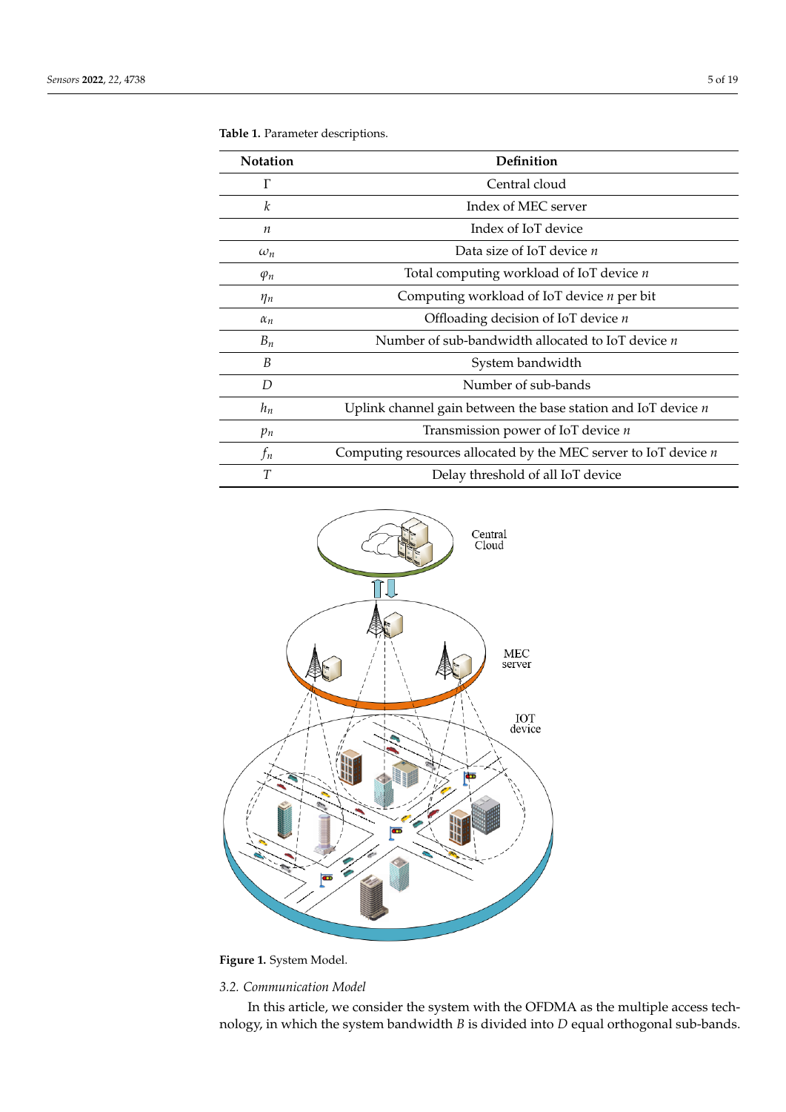| <b>Notation</b> | Definition                                                        |
|-----------------|-------------------------------------------------------------------|
| $\Gamma$        | Central cloud                                                     |
| k               | Index of MEC server                                               |
| n               | Index of IoT device                                               |
| $\omega_n$      | Data size of IoT device <i>n</i>                                  |
| $\varphi_n$     | Total computing workload of IoT device <i>n</i>                   |
| $\eta_n$        | Computing workload of IoT device <i>n</i> per bit                 |
| $\alpha_n$      | Offloading decision of IoT device $n$                             |
| $B_n$           | Number of sub-bandwidth allocated to IoT device $n$               |
| B               | System bandwidth                                                  |
| D               | Number of sub-bands                                               |
| $h_n$           | Uplink channel gain between the base station and IoT device $n$   |
| $p_n$           | Transmission power of IoT device $n$                              |
| $f_n$           | Computing resources allocated by the MEC server to IoT device $n$ |
| T               | Delay threshold of all IoT device                                 |

<span id="page-4-1"></span>

<span id="page-4-0"></span>

**Figure 1.** System Model.

# *3.2. Communication Model*

In this article, we consider the system with the OFDMA as the multiple access technology, in which the system bandwidth *B* is divided into *D* equal orthogonal sub-bands.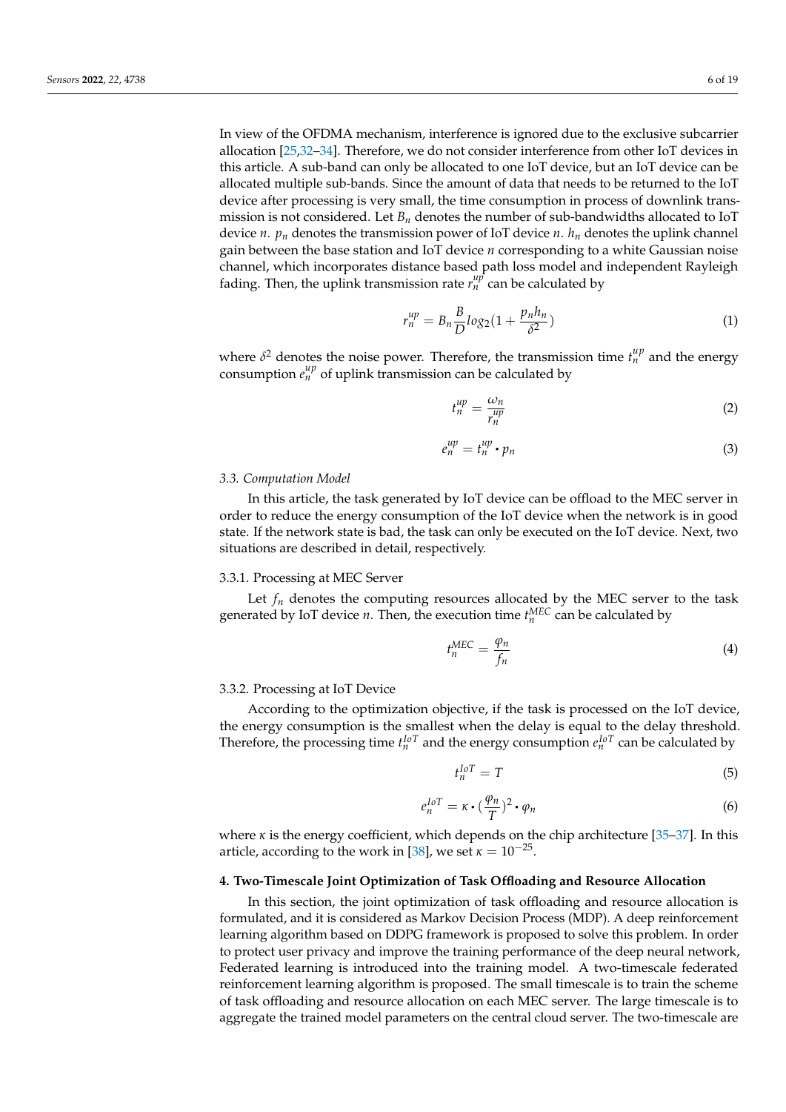In view of the OFDMA mechanism, interference is ignored due to the exclusive subcarrier allocation [\[25](#page-18-1)[,32](#page-18-8)[–34\]](#page-18-9). Therefore, we do not consider interference from other IoT devices in this article. A sub-band can only be allocated to one IoT device, but an IoT device can be allocated multiple sub-bands. Since the amount of data that needs to be returned to the IoT device after processing is very small, the time consumption in process of downlink transmission is not considered. Let *B<sup>n</sup>* denotes the number of sub-bandwidths allocated to IoT device *n*.  $p_n$  denotes the transmission power of IoT device *n*.  $h_n$  denotes the uplink channel gain between the base station and IoT device *n* corresponding to a white Gaussian noise channel, which incorporates distance based path loss model and independent Rayleigh fading. Then, the uplink transmission rate  $r_n^{\mu p^*}$  can be calculated by

$$
r_n^{up} = B_n \frac{B}{D} \log_2 \left( 1 + \frac{p_n h_n}{\delta^2} \right) \tag{1}
$$

where  $\delta^2$  denotes the noise power. Therefore, the transmission time  $t_n^{\mu p}$  and the energy consumption  $e_n^{\mu p}$  of uplink transmission can be calculated by

$$
t_n^{\mu p} = \frac{\omega_n}{r_n^{\mu p}}\tag{2}
$$

$$
e_n^{\mu p} = t_n^{\mu p} \cdot p_n \tag{3}
$$

#### *3.3. Computation Model*

In this article, the task generated by IoT device can be offload to the MEC server in order to reduce the energy consumption of the IoT device when the network is in good state. If the network state is bad, the task can only be executed on the IoT device. Next, two situations are described in detail, respectively.

#### 3.3.1. Processing at MEC Server

Let  $f_n$  denotes the computing resources allocated by the MEC server to the task generated by IoT device *n*. Then, the execution time  $t_n^{\text{MEC}}$  can be calculated by

$$
t_n^{MEC} = \frac{\varphi_n}{f_n} \tag{4}
$$

#### 3.3.2. Processing at IoT Device

According to the optimization objective, if the task is processed on the IoT device, the energy consumption is the smallest when the delay is equal to the delay threshold. Therefore, the processing time  $t_n^{IoT}$  and the energy consumption  $e_n^{IoT}$  can be calculated by

$$
t_n^{IoT} = T \tag{5}
$$

$$
e_n^{IoT} = \kappa \cdot (\frac{\varphi_n}{T})^2 \cdot \varphi_n \tag{6}
$$

where  $\kappa$  is the energy coefficient, which depends on the chip architecture [\[35–](#page-18-10)[37\]](#page-18-11). In this article, according to the work in [\[38\]](#page-18-12), we set  $\kappa = 10^{-25}$ .

#### <span id="page-5-0"></span>**4. Two-Timescale Joint Optimization of Task Offloading and Resource Allocation**

In this section, the joint optimization of task offloading and resource allocation is formulated, and it is considered as Markov Decision Process (MDP). A deep reinforcement learning algorithm based on DDPG framework is proposed to solve this problem. In order to protect user privacy and improve the training performance of the deep neural network, Federated learning is introduced into the training model. A two-timescale federated reinforcement learning algorithm is proposed. The small timescale is to train the scheme of task offloading and resource allocation on each MEC server. The large timescale is to aggregate the trained model parameters on the central cloud server. The two-timescale are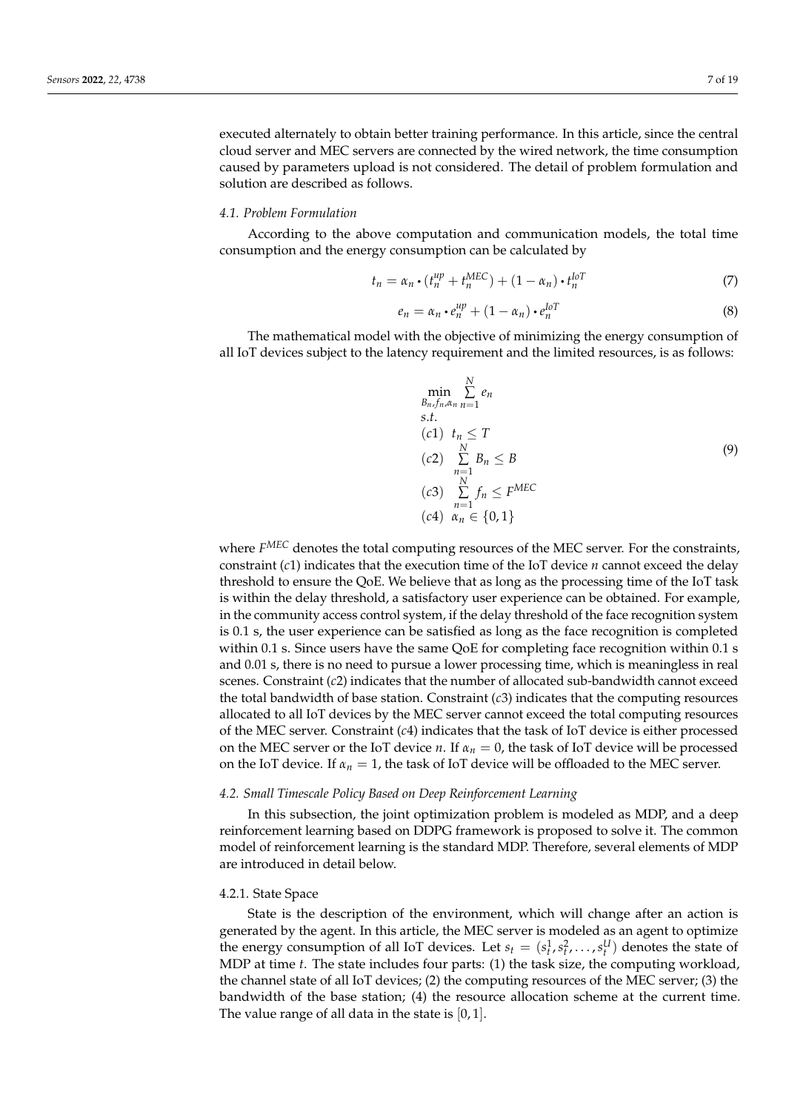executed alternately to obtain better training performance. In this article, since the central cloud server and MEC servers are connected by the wired network, the time consumption caused by parameters upload is not considered. The detail of problem formulation and solution are described as follows.

#### *4.1. Problem Formulation*

According to the above computation and communication models, the total time consumption and the energy consumption can be calculated by

<span id="page-6-2"></span>
$$
t_n = \alpha_n \cdot (t_n^{up} + t_n^{MEC}) + (1 - \alpha_n) \cdot t_n^{loT}
$$
 (7)

<span id="page-6-1"></span>
$$
e_n = \alpha_n \cdot e_n^{\mu p} + (1 - \alpha_n) \cdot e_n^{\text{IoT}} \tag{8}
$$

The mathematical model with the objective of minimizing the energy consumption of all IoT devices subject to the latency requirement and the limited resources, is as follows:

<span id="page-6-0"></span>
$$
\min_{B_n, f_n, \alpha_n} \sum_{n=1}^{N} e_n
$$
\ns.t.\n  
\n(c1)  $t_n \leq T$   
\n(c2)  $\sum_{n=1}^{N} B_n \leq B$   
\n(c3)  $\sum_{n=1}^{N} f_n \leq F^{\text{MEC}}$   
\n(c4)  $\alpha_n \in \{0, 1\}$ 

where *F MEC* denotes the total computing resources of the MEC server. For the constraints, constraint (*c*1) indicates that the execution time of the IoT device *n* cannot exceed the delay threshold to ensure the QoE. We believe that as long as the processing time of the IoT task is within the delay threshold, a satisfactory user experience can be obtained. For example, in the community access control system, if the delay threshold of the face recognition system is 0.1 s, the user experience can be satisfied as long as the face recognition is completed within 0.1 s. Since users have the same QoE for completing face recognition within 0.1 s and 0.01 s, there is no need to pursue a lower processing time, which is meaningless in real scenes. Constraint (*c*2) indicates that the number of allocated sub-bandwidth cannot exceed the total bandwidth of base station. Constraint (*c*3) indicates that the computing resources allocated to all IoT devices by the MEC server cannot exceed the total computing resources of the MEC server. Constraint (*c*4) indicates that the task of IoT device is either processed on the MEC server or the IoT device *n*. If  $\alpha_n = 0$ , the task of IoT device will be processed on the IoT device. If  $\alpha_n = 1$ , the task of IoT device will be offloaded to the MEC server.

# *4.2. Small Timescale Policy Based on Deep Reinforcement Learning*

In this subsection, the joint optimization problem is modeled as MDP, and a deep reinforcement learning based on DDPG framework is proposed to solve it. The common model of reinforcement learning is the standard MDP. Therefore, several elements of MDP are introduced in detail below.

## 4.2.1. State Space

State is the description of the environment, which will change after an action is generated by the agent. In this article, the MEC server is modeled as an agent to optimize the energy consumption of all IoT devices. Let  $s_t = (s_t^1, s_t^2, \ldots, s_t^U)$  denotes the state of MDP at time *t*. The state includes four parts: (1) the task size, the computing workload, the channel state of all IoT devices; (2) the computing resources of the MEC server; (3) the bandwidth of the base station; (4) the resource allocation scheme at the current time. The value range of all data in the state is  $[0, 1]$ .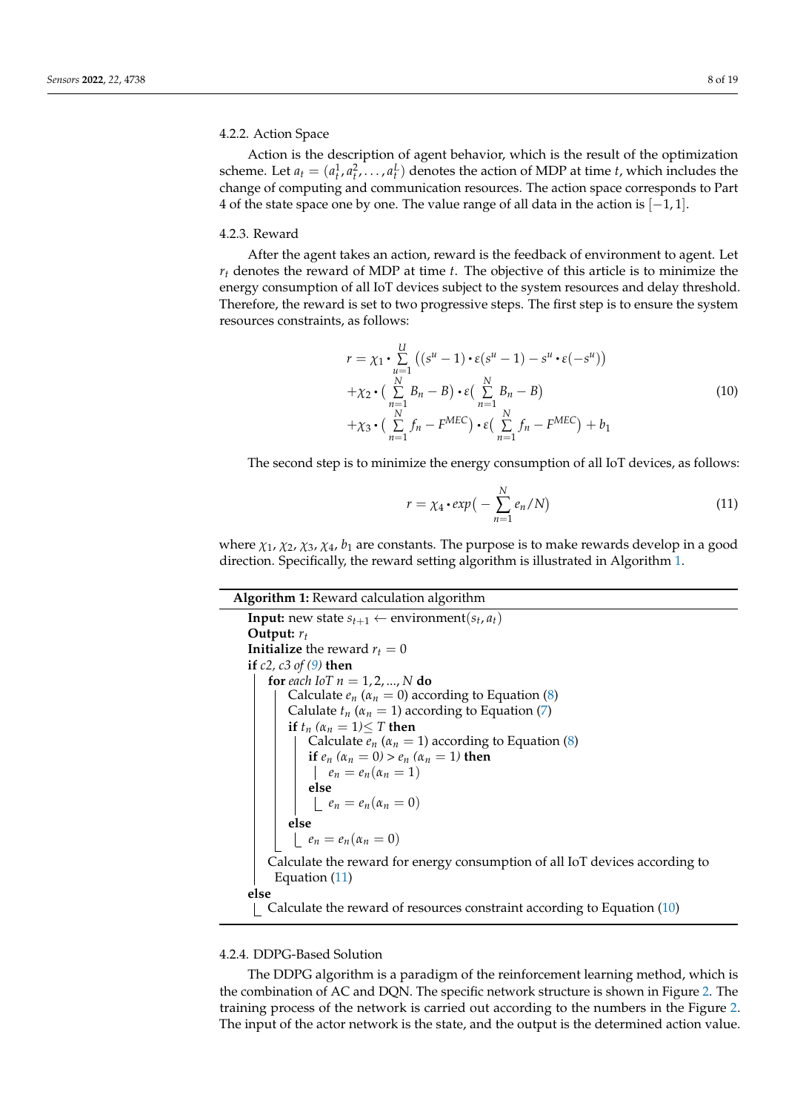#### 4.2.2. Action Space

Action is the description of agent behavior, which is the result of the optimization scheme. Let  $a_t = (a_t^1, a_t^2, \dots, a_t^L)$  denotes the action of MDP at time *t*, which includes the change of computing and communication resources. The action space corresponds to Part 4 of the state space one by one. The value range of all data in the action is  $[-1, 1]$ .

#### 4.2.3. Reward

After the agent takes an action, reward is the feedback of environment to agent. Let *r<sup>t</sup>* denotes the reward of MDP at time *t*. The objective of this article is to minimize the energy consumption of all IoT devices subject to the system resources and delay threshold. Therefore, the reward is set to two progressive steps. The first step is to ensure the system resources constraints, as follows:

<span id="page-7-2"></span>
$$
r = \chi_1 \cdot \sum_{u=1}^{U} \left( (s^u - 1) \cdot \varepsilon (s^u - 1) - s^u \cdot \varepsilon (-s^u) \right)
$$
  
+ 
$$
\chi_2 \cdot \left( \sum_{n=1}^{N} B_n - B \right) \cdot \varepsilon \left( \sum_{n=1}^{N} B_n - B \right)
$$
  
+ 
$$
\chi_3 \cdot \left( \sum_{n=1}^{N} f_n - F^{MEC} \right) \cdot \varepsilon \left( \sum_{n=1}^{N} f_n - F^{MEC} \right) + b_1
$$
 (10)

The second step is to minimize the energy consumption of all IoT devices, as follows:

<span id="page-7-1"></span>
$$
r = \chi_4 \cdot exp\big(-\sum_{n=1}^{N} e_n / N\big) \tag{11}
$$

where  $\chi_1$ ,  $\chi_2$ ,  $\chi_3$ ,  $\chi_4$ ,  $b_1$  are constants. The purpose is to make rewards develop in a good direction. Specifically, the reward setting algorithm is illustrated in Algorithm [1.](#page-7-0)

**Algorithm 1:** Reward calculation algorithm

```
Input: new state s_{t+1} \leftarrow environment(s_t, a_t)
Output: rt
Initialize the reward r_t = 0if c2, c3 of (9) then
   for each IoT n = 1, 2, ..., N do
       Calculate e_n (\alpha_n = 0(8)
       Calulate t_n (\alpha_n = 1(7)
       if t_n (\alpha_n = 1)\leq T then
          Calculate e_n (\alpha_n = 1(8)
          if e_n (\alpha_n = 0) > e_n (\alpha_n = 1) then
           e_n = e_n(\alpha_n = 1)else
           e_n = e_n(\alpha_n = 0)else
       e_n = e_n(\alpha_n = 0)Calculate the reward for energy consumption of all IoT devices according to
    Equation (11)
else
   Calculate the reward of resources constraint according to Equation (10)
```
# 4.2.4. DDPG-Based Solution

The DDPG algorithm is a paradigm of the reinforcement learning method, which is the combination of AC and DQN. The specific network structure is shown in Figure [2.](#page-8-0) The training process of the network is carried out according to the numbers in the Figure [2.](#page-8-0) The input of the actor network is the state, and the output is the determined action value.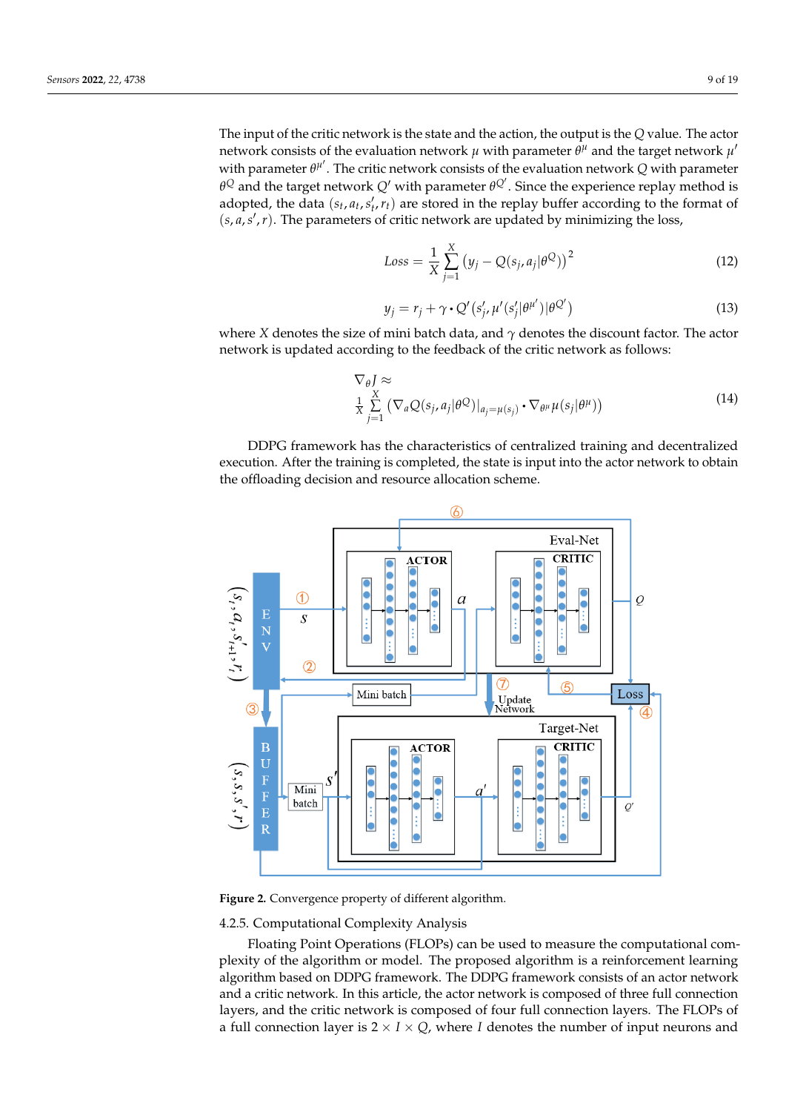The input of the critic network is the state and the action, the output is the *Q* value. The actor network consists of the evaluation network  $\mu$  with parameter  $\bar{\theta}^{\mu}$  and the target network  $\mu'$ with parameter  $\theta^{\mu'}$ . The critic network consists of the evaluation network *Q* with parameter *θ*<sup>Q</sup> and the target network *Q'* with parameter  $θ$ <sup>Q'</sup>. Since the experience replay method is adopted, the data  $(s_t, a_t, s'_t, r_t)$  are stored in the replay buffer according to the format of  $(s, a, s', r)$ . The parameters of critic network are updated by minimizing the loss,

<span id="page-8-1"></span>
$$
Loss = \frac{1}{X} \sum_{j=1}^{X} (y_j - Q(s_j, a_j | \theta^Q))^2
$$
 (12)

<span id="page-8-2"></span>
$$
y_j = r_j + \gamma \cdot Q'(s'_j, \mu'(s'_j | \theta^{\mu'}) | \theta^{Q'}) \tag{13}
$$

where *X* denotes the size of mini batch data, and *γ* denotes the discount factor. The actor network is updated according to the feedback of the critic network as follows:

<span id="page-8-3"></span>
$$
\nabla_{\theta} J \approx \frac{X}{X} \sum_{j=1}^{X} (\nabla_{a} Q(s_{j}, a_{j} | \theta^{Q})|_{a_{j} = \mu(s_{j})} \cdot \nabla_{\theta^{\mu}} \mu(s_{j} | \theta^{\mu}))
$$
(14)

DDPG framework has the characteristics of centralized training and decentralized execution. After the training is completed, the state is input into the actor network to obtain the offloading decision and resource allocation scheme.

<span id="page-8-0"></span>

**Figure 2.** Convergence property of different algorithm.

4.2.5. Computational Complexity Analysis

Floating Point Operations (FLOPs) can be used to measure the computational complexity of the algorithm or model. The proposed algorithm is a reinforcement learning algorithm based on DDPG framework. The DDPG framework consists of an actor network and a critic network. In this article, the actor network is composed of three full connection layers, and the critic network is composed of four full connection layers. The FLOPs of a full connection layer is  $2 \times I \times Q$ , where *I* denotes the number of input neurons and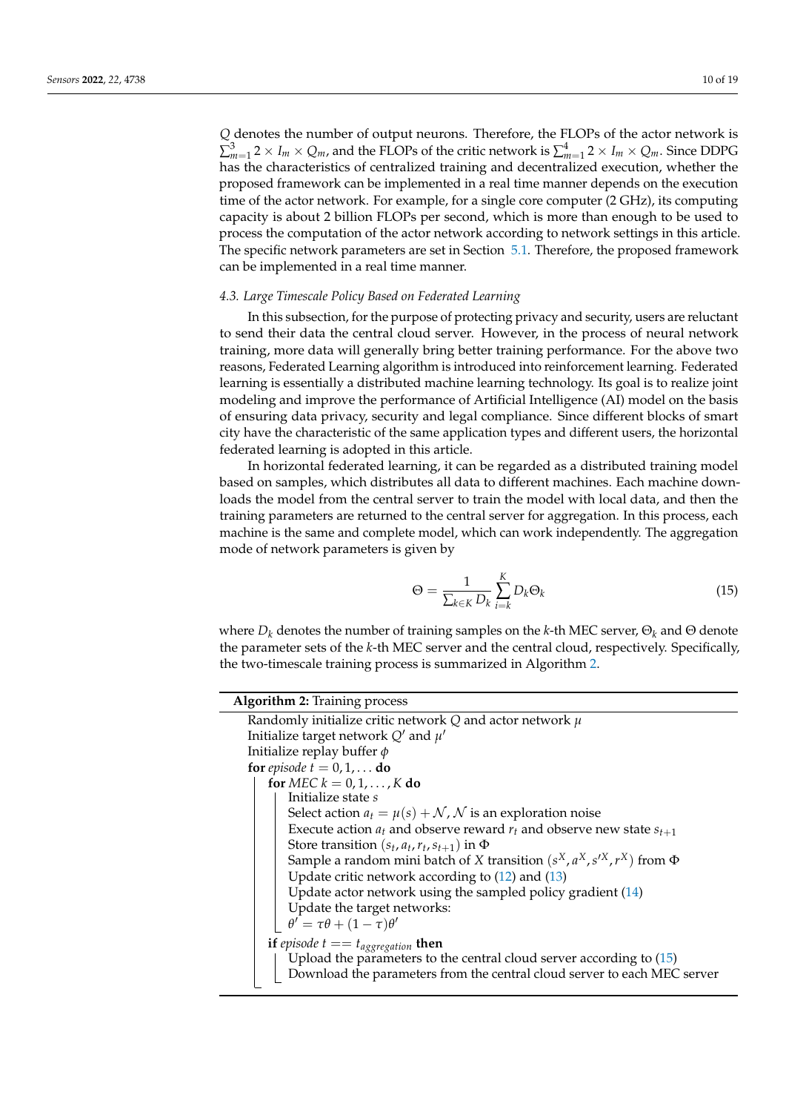*Q* denotes the number of output neurons. Therefore, the FLOPs of the actor network is  $\sum_{m=1}^3 2 \times I_m \times Q_m$ , and the FLOPs of the critic network is  $\sum_{m=1}^4 2 \times I_m \times Q_m$ . Since DDPG has the characteristics of centralized training and decentralized execution, whether the proposed framework can be implemented in a real time manner depends on the execution time of the actor network. For example, for a single core computer (2 GHz), its computing capacity is about 2 billion FLOPs per second, which is more than enough to be used to process the computation of the actor network according to network settings in this article. The specific network parameters are set in Section [5.1.](#page-10-1) Therefore, the proposed framework can be implemented in a real time manner.

## *4.3. Large Timescale Policy Based on Federated Learning*

In this subsection, for the purpose of protecting privacy and security, users are reluctant to send their data the central cloud server. However, in the process of neural network training, more data will generally bring better training performance. For the above two reasons, Federated Learning algorithm is introduced into reinforcement learning. Federated learning is essentially a distributed machine learning technology. Its goal is to realize joint modeling and improve the performance of Artificial Intelligence (AI) model on the basis of ensuring data privacy, security and legal compliance. Since different blocks of smart city have the characteristic of the same application types and different users, the horizontal federated learning is adopted in this article.

In horizontal federated learning, it can be regarded as a distributed training model based on samples, which distributes all data to different machines. Each machine downloads the model from the central server to train the model with local data, and then the training parameters are returned to the central server for aggregation. In this process, each machine is the same and complete model, which can work independently. The aggregation mode of network parameters is given by

<span id="page-9-1"></span>
$$
\Theta = \frac{1}{\sum_{k \in K} D_k} \sum_{i=k}^{K} D_k \Theta_k \tag{15}
$$

where  $D_k$  denotes the number of training samples on the *k*-th MEC server,  $\Theta_k$  and  $\Theta$  denote the parameter sets of the *k*-th MEC server and the central cloud, respectively. Specifically, the two-timescale training process is summarized in Algorithm [2.](#page-9-0)

<span id="page-9-0"></span>

| <b>Algorithm 2:</b> Training process                                            |  |  |
|---------------------------------------------------------------------------------|--|--|
| Randomly initialize critic network $Q$ and actor network $\mu$                  |  |  |
| Initialize target network $Q'$ and $\mu'$                                       |  |  |
| Initialize replay buffer $\phi$                                                 |  |  |
| for episode $t = 0, 1, \dots$ do                                                |  |  |
| for MEC $k = 0, 1, \ldots, K$ do                                                |  |  |
| Initialize state s                                                              |  |  |
| Select action $a_t = \mu(s) + \mathcal{N}, \mathcal{N}$ is an exploration noise |  |  |
| Execute action $a_t$ and observe reward $r_t$ and observe new state $s_{t+1}$   |  |  |
| Store transition $(s_t, a_t, r_t, s_{t+1})$ in $\Phi$                           |  |  |
| Sample a random mini batch of X transition $(s^X, a^X, s'^X, r^X)$ from $\Phi$  |  |  |
| Update critic network according to $(12)$ and $(13)$                            |  |  |
| Update actor network using the sampled policy gradient $(14)$                   |  |  |
| Update the target networks:                                                     |  |  |
| $\theta' = \tau \theta + (1 - \tau) \theta'$                                    |  |  |
| if episode $t == t_{aggregation}$ then                                          |  |  |
| Upload the parameters to the central cloud server according to $(15)$           |  |  |
| Download the parameters from the central cloud server to each MEC server        |  |  |
|                                                                                 |  |  |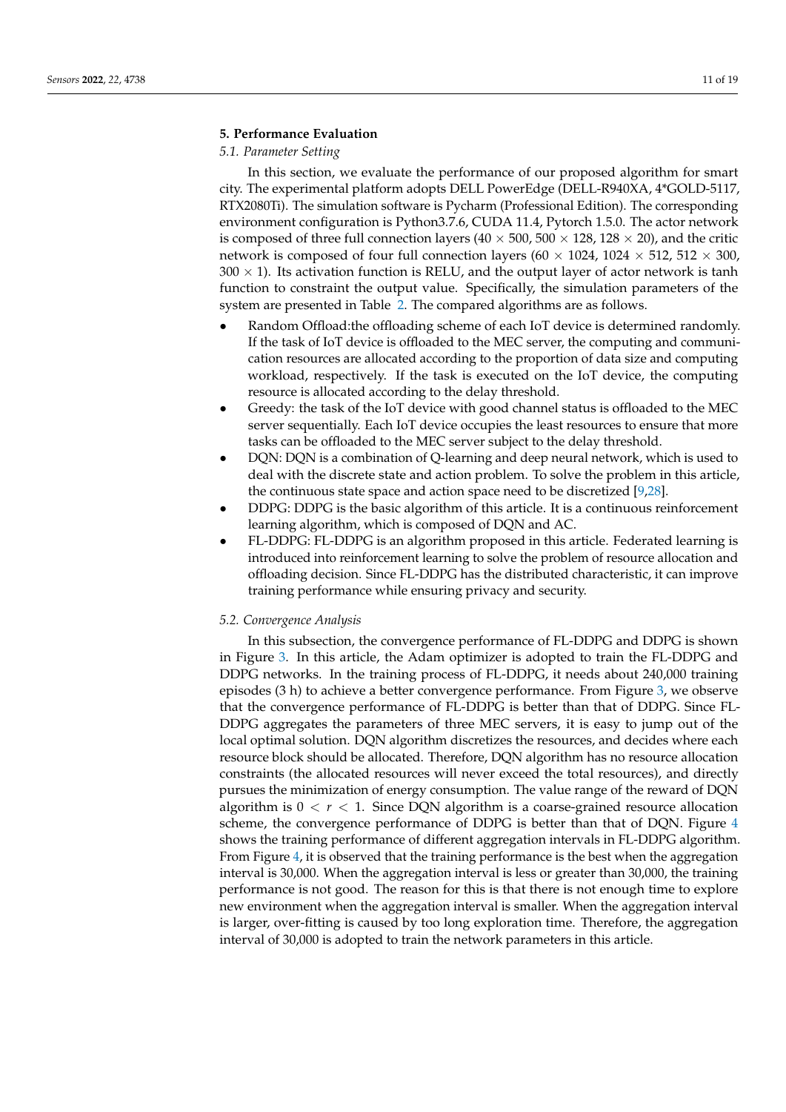# <span id="page-10-0"></span>**5. Performance Evaluation**

# <span id="page-10-1"></span>*5.1. Parameter Setting*

In this section, we evaluate the performance of our proposed algorithm for smart city. The experimental platform adopts DELL PowerEdge (DELL-R940XA, 4\*GOLD-5117, RTX2080Ti). The simulation software is Pycharm (Professional Edition). The corresponding environment configuration is Python3.7.6, CUDA 11.4, Pytorch 1.5.0. The actor network is composed of three full connection layers (40  $\times$  500, 500  $\times$  128, 128  $\times$  20), and the critic network is composed of four full connection layers (60  $\times$  1024, 1024  $\times$  512, 512  $\times$  300,  $300 \times 1$ ). Its activation function is RELU, and the output layer of actor network is tanh function to constraint the output value. Specifically, the simulation parameters of the system are presented in Table [2.](#page-11-0) The compared algorithms are as follows.

- Random Offload:the offloading scheme of each IoT device is determined randomly. If the task of IoT device is offloaded to the MEC server, the computing and communication resources are allocated according to the proportion of data size and computing workload, respectively. If the task is executed on the IoT device, the computing resource is allocated according to the delay threshold.
- Greedy: the task of the IoT device with good channel status is offloaded to the MEC server sequentially. Each IoT device occupies the least resources to ensure that more tasks can be offloaded to the MEC server subject to the delay threshold.
- DQN: DQN is a combination of Q-learning and deep neural network, which is used to deal with the discrete state and action problem. To solve the problem in this article, the continuous state space and action space need to be discretized [\[9](#page-17-7)[,28\]](#page-18-4).
- DDPG: DDPG is the basic algorithm of this article. It is a continuous reinforcement learning algorithm, which is composed of DQN and AC.
- FL-DDPG: FL-DDPG is an algorithm proposed in this article. Federated learning is introduced into reinforcement learning to solve the problem of resource allocation and offloading decision. Since FL-DDPG has the distributed characteristic, it can improve training performance while ensuring privacy and security.

# *5.2. Convergence Analysis*

In this subsection, the convergence performance of FL-DDPG and DDPG is shown in Figure [3.](#page-11-1) In this article, the Adam optimizer is adopted to train the FL-DDPG and DDPG networks. In the training process of FL-DDPG, it needs about 240,000 training episodes (3 h) to achieve a better convergence performance. From Figure [3,](#page-11-1) we observe that the convergence performance of FL-DDPG is better than that of DDPG. Since FL-DDPG aggregates the parameters of three MEC servers, it is easy to jump out of the local optimal solution. DQN algorithm discretizes the resources, and decides where each resource block should be allocated. Therefore, DQN algorithm has no resource allocation constraints (the allocated resources will never exceed the total resources), and directly pursues the minimization of energy consumption. The value range of the reward of DQN algorithm is  $0 < r < 1$ . Since DQN algorithm is a coarse-grained resource allocation scheme, the convergence performance of DDPG is better than that of DQN. Figure [4](#page-12-0) shows the training performance of different aggregation intervals in FL-DDPG algorithm. From Figure [4,](#page-12-0) it is observed that the training performance is the best when the aggregation interval is 30,000. When the aggregation interval is less or greater than 30,000, the training performance is not good. The reason for this is that there is not enough time to explore new environment when the aggregation interval is smaller. When the aggregation interval is larger, over-fitting is caused by too long exploration time. Therefore, the aggregation interval of 30,000 is adopted to train the network parameters in this article.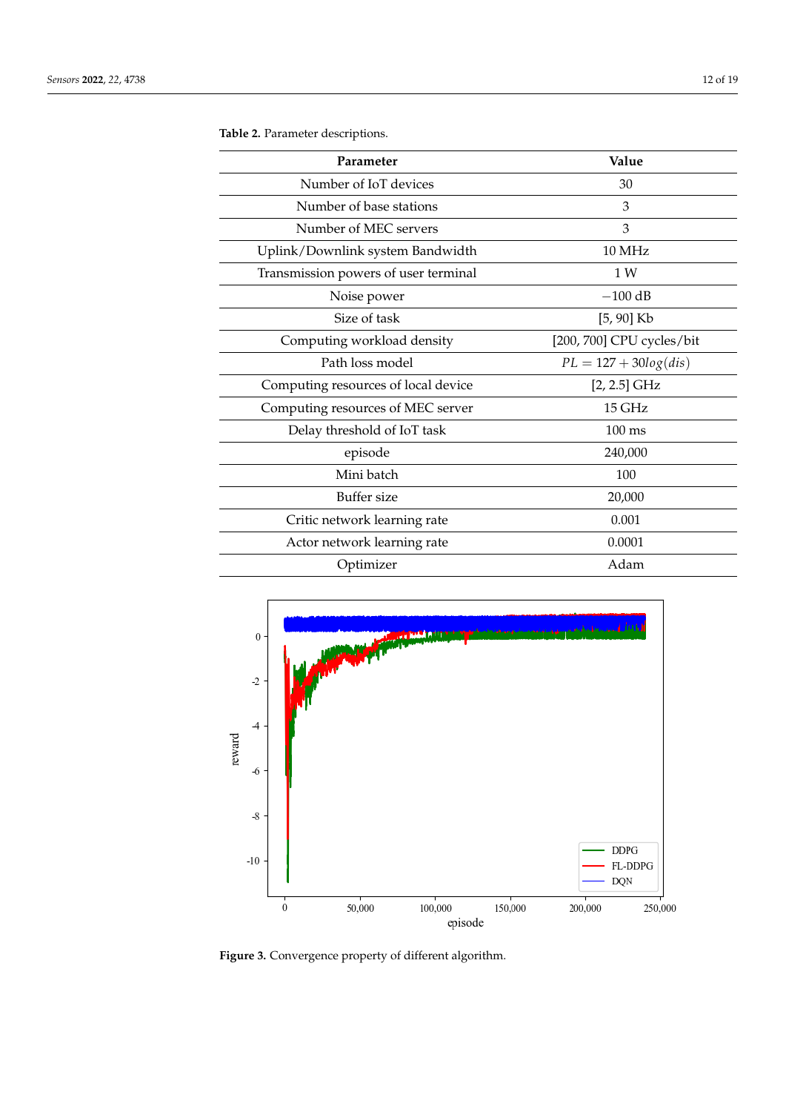| Parameter                            | Value                     |
|--------------------------------------|---------------------------|
| Number of IoT devices                | 30                        |
| Number of base stations              | 3                         |
| Number of MEC servers                | 3                         |
| Uplink/Downlink system Bandwidth     | 10 MHz                    |
| Transmission powers of user terminal | 1 W                       |
| Noise power                          | $-100$ dB                 |
| Size of task                         | $[5, 90]$ Kb              |
| Computing workload density           | [200, 700] CPU cycles/bit |
| Path loss model                      | $PL = 127 + 30log(dis)$   |
| Computing resources of local device  | $[2, 2.5]$ GHz            |
| Computing resources of MEC server    | 15 GHz                    |
| Delay threshold of IoT task          | $100 \text{ ms}$          |
| episode                              | 240,000                   |
| Mini batch                           | 100                       |
| Buffer size                          | 20,000                    |
| Critic network learning rate         | 0.001                     |
| Actor network learning rate          | 0.0001                    |
| Optimizer                            | Adam                      |

<span id="page-11-0"></span>**Table 2.** Parameter descriptions.

<span id="page-11-1"></span>

**Figure 3.** Convergence property of different algorithm.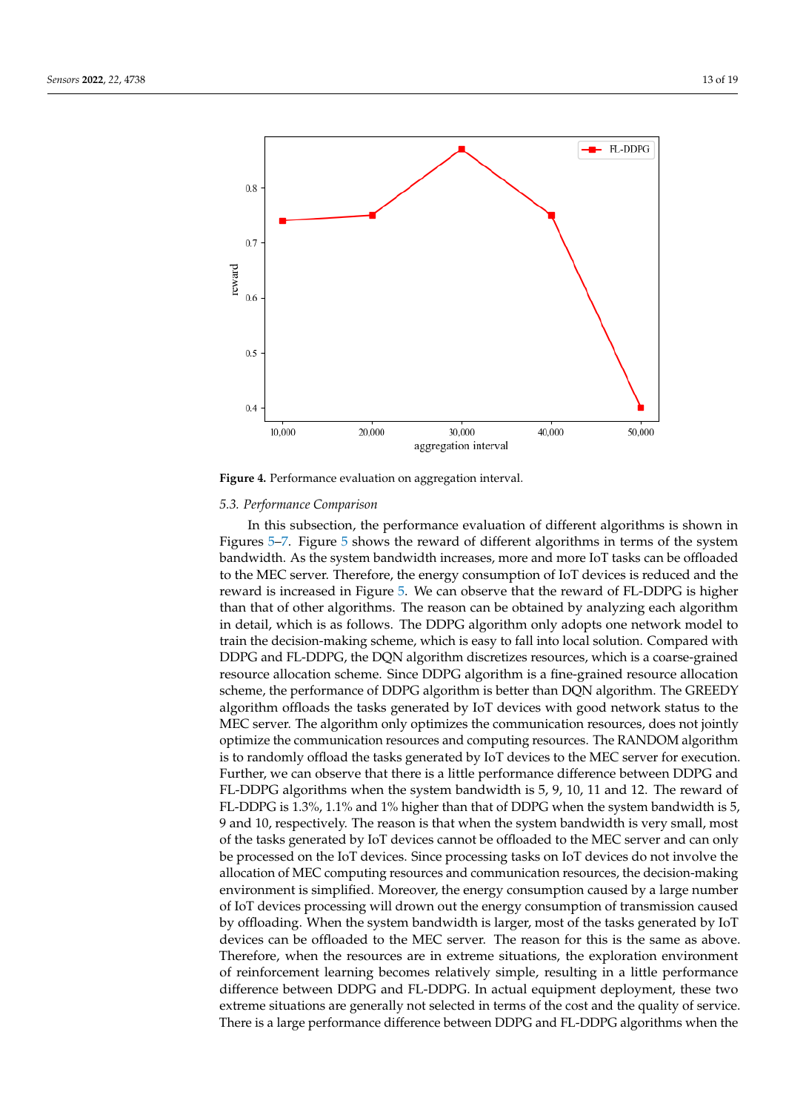<span id="page-12-0"></span>

**Figure 4.** Performance evaluation on aggregation interval.

#### *5.3. Performance Comparison*

In this subsection, the performance evaluation of different algorithms is shown in Figures [5](#page-13-0)[–7.](#page-14-0) Figure [5](#page-13-0) shows the reward of different algorithms in terms of the system bandwidth. As the system bandwidth increases, more and more IoT tasks can be offloaded to the MEC server. Therefore, the energy consumption of IoT devices is reduced and the reward is increased in Figure [5.](#page-13-0) We can observe that the reward of FL-DDPG is higher than that of other algorithms. The reason can be obtained by analyzing each algorithm in detail, which is as follows. The DDPG algorithm only adopts one network model to train the decision-making scheme, which is easy to fall into local solution. Compared with DDPG and FL-DDPG, the DQN algorithm discretizes resources, which is a coarse-grained resource allocation scheme. Since DDPG algorithm is a fine-grained resource allocation scheme, the performance of DDPG algorithm is better than DQN algorithm. The GREEDY algorithm offloads the tasks generated by IoT devices with good network status to the MEC server. The algorithm only optimizes the communication resources, does not jointly optimize the communication resources and computing resources. The RANDOM algorithm is to randomly offload the tasks generated by IoT devices to the MEC server for execution. Further, we can observe that there is a little performance difference between DDPG and FL-DDPG algorithms when the system bandwidth is 5, 9, 10, 11 and 12. The reward of FL-DDPG is 1.3%, 1.1% and 1% higher than that of DDPG when the system bandwidth is 5, 9 and 10, respectively. The reason is that when the system bandwidth is very small, most of the tasks generated by IoT devices cannot be offloaded to the MEC server and can only be processed on the IoT devices. Since processing tasks on IoT devices do not involve the allocation of MEC computing resources and communication resources, the decision-making environment is simplified. Moreover, the energy consumption caused by a large number of IoT devices processing will drown out the energy consumption of transmission caused by offloading. When the system bandwidth is larger, most of the tasks generated by IoT devices can be offloaded to the MEC server. The reason for this is the same as above. Therefore, when the resources are in extreme situations, the exploration environment of reinforcement learning becomes relatively simple, resulting in a little performance difference between DDPG and FL-DDPG. In actual equipment deployment, these two extreme situations are generally not selected in terms of the cost and the quality of service. There is a large performance difference between DDPG and FL-DDPG algorithms when the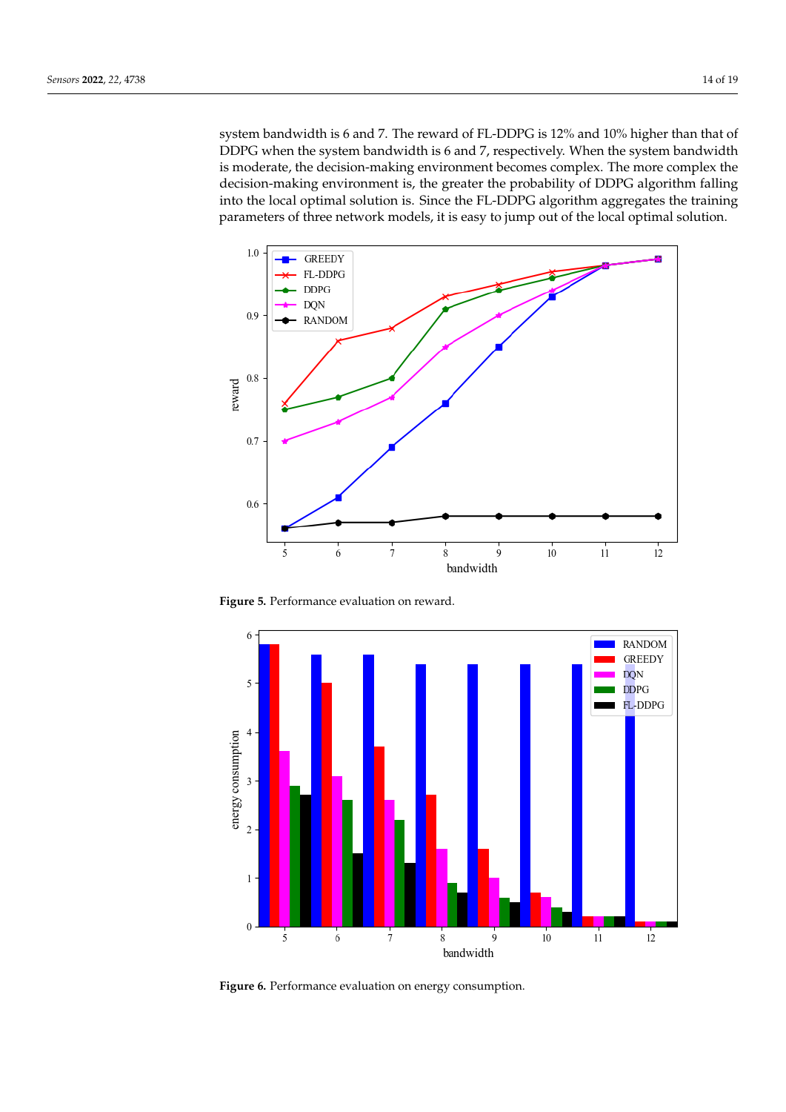system bandwidth is 6 and 7. The reward of FL-DDPG is 12% and 10% higher than that of DDPG when the system bandwidth is 6 and 7, respectively. When the system bandwidth is moderate, the decision-making environment becomes complex. The more complex the decision-making environment is, the greater the probability of DDPG algorithm falling into the local optimal solution is. Since the FL-DDPG algorithm aggregates the training parameters of three network models, it is easy to jump out of the local optimal solution.

<span id="page-13-0"></span>

**Figure 5.** Performance evaluation on reward.

<span id="page-13-1"></span>

**Figure 6.** Performance evaluation on energy consumption.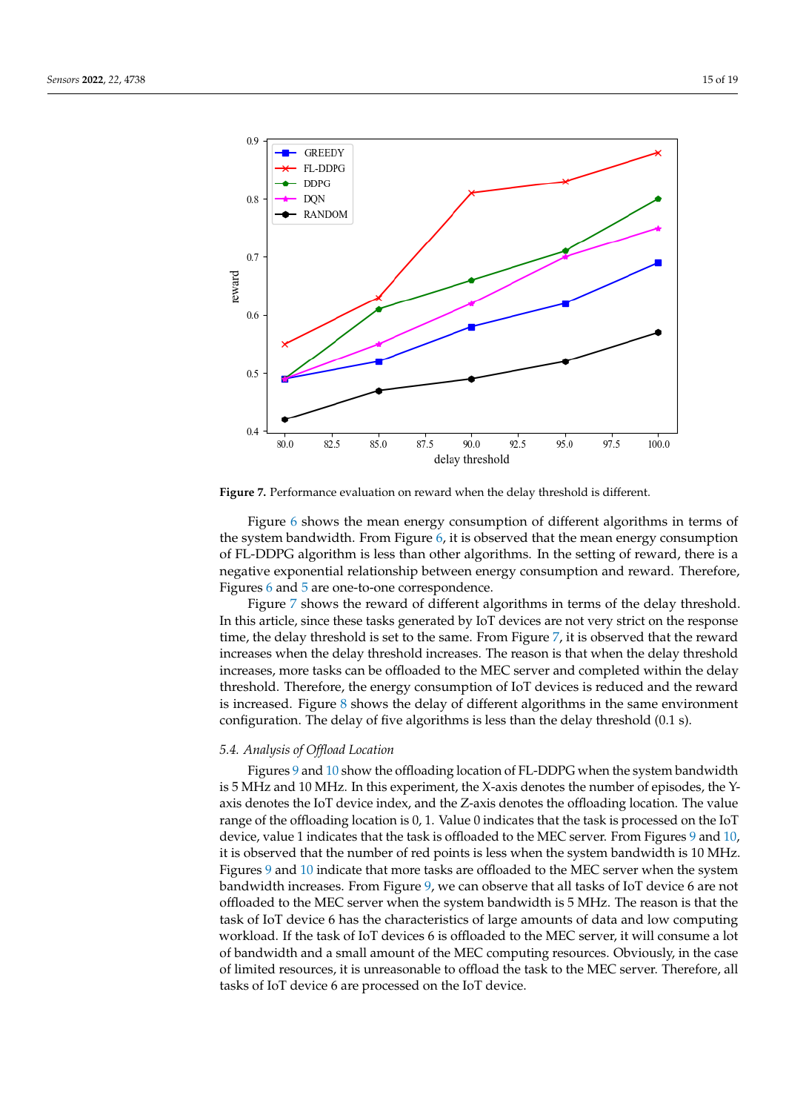<span id="page-14-0"></span>

**Figure 7.** Performance evaluation on reward when the delay threshold is different.

Figure [6](#page-13-1) shows the mean energy consumption of different algorithms in terms of the system bandwidth. From Figure [6,](#page-13-1) it is observed that the mean energy consumption of FL-DDPG algorithm is less than other algorithms. In the setting of reward, there is a negative exponential relationship between energy consumption and reward. Therefore, Figures [6](#page-13-1) and [5](#page-13-0) are one-to-one correspondence.

Figure [7](#page-14-0) shows the reward of different algorithms in terms of the delay threshold. In this article, since these tasks generated by IoT devices are not very strict on the response time, the delay threshold is set to the same. From Figure [7,](#page-14-0) it is observed that the reward increases when the delay threshold increases. The reason is that when the delay threshold increases, more tasks can be offloaded to the MEC server and completed within the delay threshold. Therefore, the energy consumption of IoT devices is reduced and the reward is increased. Figure [8](#page-15-0) shows the delay of different algorithms in the same environment configuration. The delay of five algorithms is less than the delay threshold (0.1 s).

# *5.4. Analysis of Offload Location*

Figures [9](#page-15-1) and [10](#page-16-0) show the offloading location of FL-DDPG when the system bandwidth is 5 MHz and 10 MHz. In this experiment, the X-axis denotes the number of episodes, the Yaxis denotes the IoT device index, and the Z-axis denotes the offloading location. The value range of the offloading location is 0, 1. Value 0 indicates that the task is processed on the IoT device, value 1 indicates that the task is offloaded to the MEC server. From Figures [9](#page-15-1) and [10,](#page-16-0) it is observed that the number of red points is less when the system bandwidth is 10 MHz. Figures [9](#page-15-1) and [10](#page-16-0) indicate that more tasks are offloaded to the MEC server when the system bandwidth increases. From Figure [9,](#page-15-1) we can observe that all tasks of IoT device 6 are not offloaded to the MEC server when the system bandwidth is 5 MHz. The reason is that the task of IoT device 6 has the characteristics of large amounts of data and low computing workload. If the task of IoT devices 6 is offloaded to the MEC server, it will consume a lot of bandwidth and a small amount of the MEC computing resources. Obviously, in the case of limited resources, it is unreasonable to offload the task to the MEC server. Therefore, all tasks of IoT device 6 are processed on the IoT device.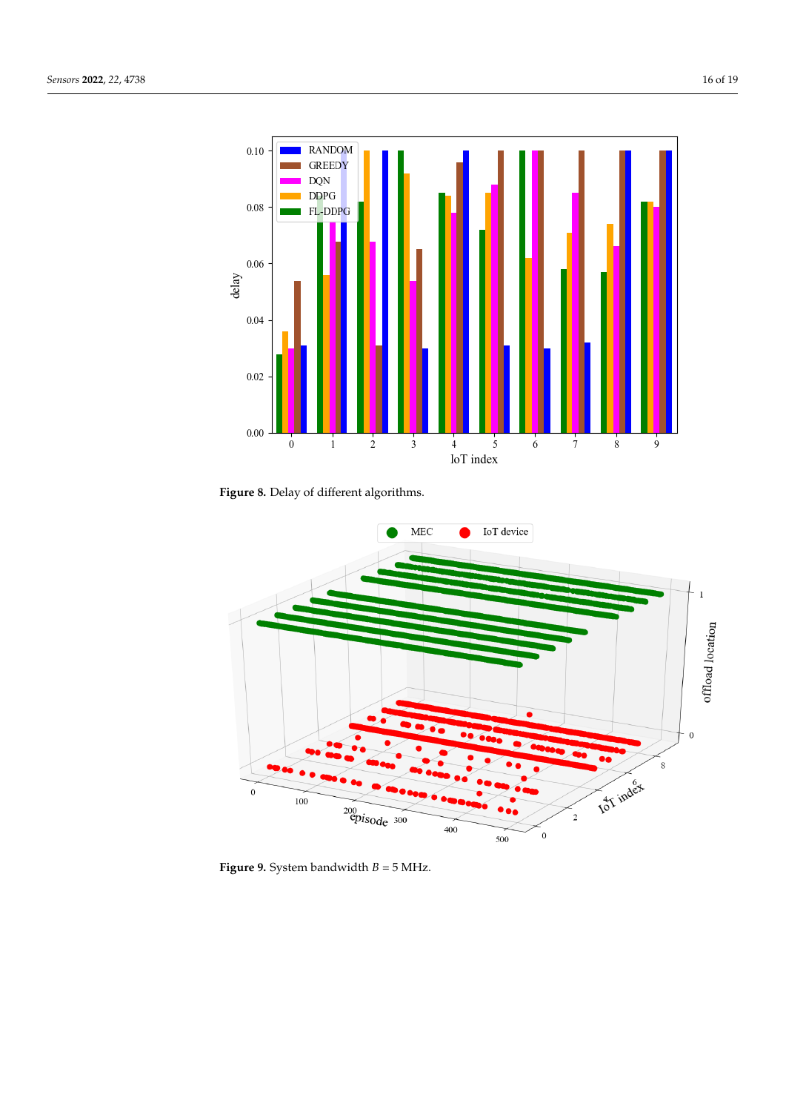<span id="page-15-0"></span>

**Figure 8.** Delay of different algorithms.

<span id="page-15-1"></span>

**Figure 9.** System bandwidth *B* = 5 MHz.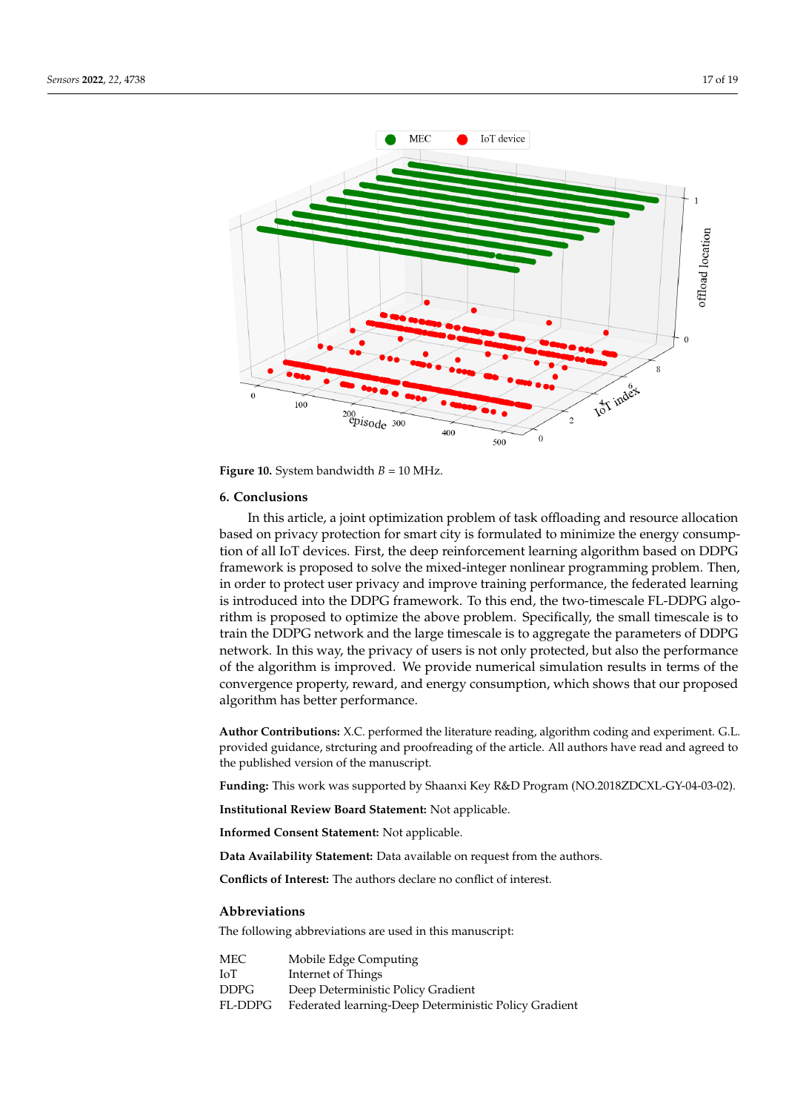<span id="page-16-0"></span>

**Figure 10.** System bandwidth  $B = 10$  MHz.

#### **6. Conclusions**

In this article, a joint optimization problem of task offloading and resource allocation based on privacy protection for smart city is formulated to minimize the energy consumption of all IoT devices. First, the deep reinforcement learning algorithm based on DDPG framework is proposed to solve the mixed-integer nonlinear programming problem. Then, in order to protect user privacy and improve training performance, the federated learning is introduced into the DDPG framework. To this end, the two-timescale FL-DDPG algorithm is proposed to optimize the above problem. Specifically, the small timescale is to train the DDPG network and the large timescale is to aggregate the parameters of DDPG network. In this way, the privacy of users is not only protected, but also the performance of the algorithm is improved. We provide numerical simulation results in terms of the convergence property, reward, and energy consumption, which shows that our proposed algorithm has better performance.

**Author Contributions:** X.C. performed the literature reading, algorithm coding and experiment. G.L. provided guidance, strcturing and proofreading of the article. All authors have read and agreed to the published version of the manuscript.

**Funding:** This work was supported by Shaanxi Key R&D Program (NO.2018ZDCXL-GY-04-03-02).

**Institutional Review Board Statement:** Not applicable.

**Informed Consent Statement:** Not applicable.

**Data Availability Statement:** Data available on request from the authors.

**Conflicts of Interest:** The authors declare no conflict of interest.

#### **Abbreviations**

The following abbreviations are used in this manuscript:

| MEC     | Mobile Edge Computing                                 |
|---------|-------------------------------------------------------|
| ЮT      | Internet of Things                                    |
| DDPG    | Deep Deterministic Policy Gradient                    |
| FL-DDPG | Federated learning-Deep Deterministic Policy Gradient |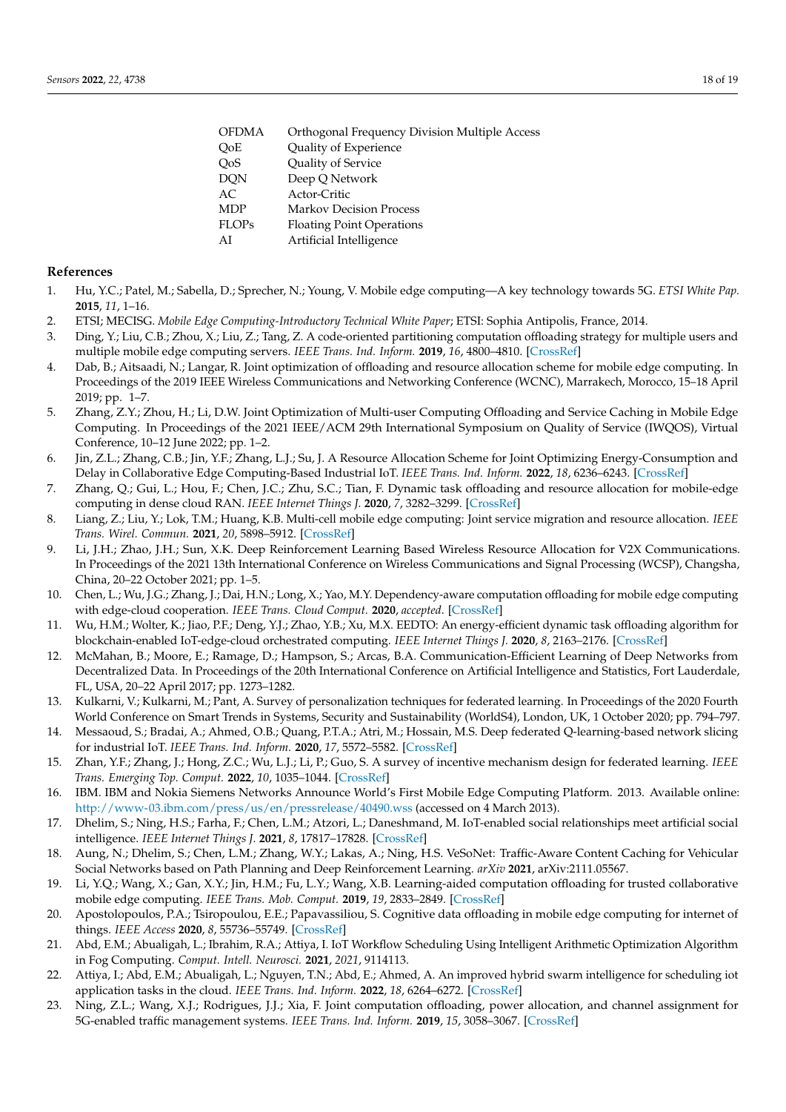| <b>OFDMA</b> | Orthogonal Frequency Division Multiple Access |
|--------------|-----------------------------------------------|
| OoE          | Quality of Experience                         |
| QoS          | Quality of Service                            |
| <b>DQN</b>   | Deep Q Network                                |
| AC           | Actor-Critic                                  |
| <b>MDP</b>   | <b>Markov Decision Process</b>                |
| <b>FLOPs</b> | <b>Floating Point Operations</b>              |
| AI           | Artificial Intelligence                       |
|              |                                               |

#### **References**

- <span id="page-17-0"></span>1. Hu, Y.C.; Patel, M.; Sabella, D.; Sprecher, N.; Young, V. Mobile edge computing—A key technology towards 5G. *ETSI White Pap.* **2015**, *11*, 1–16.
- <span id="page-17-1"></span>2. ETSI; MECISG. *Mobile Edge Computing-Introductory Technical White Paper*; ETSI: Sophia Antipolis, France, 2014.
- <span id="page-17-2"></span>3. Ding, Y.; Liu, C.B.; Zhou, X.; Liu, Z.; Tang, Z. A code-oriented partitioning computation offloading strategy for multiple users and multiple mobile edge computing servers. *IEEE Trans. Ind. Inform.* **2019**, *16*, 4800–4810. [\[CrossRef\]](http://doi.org/10.1109/TII.2019.2951206)
- <span id="page-17-3"></span>4. Dab, B.; Aitsaadi, N.; Langar, R. Joint optimization of offloading and resource allocation scheme for mobile edge computing. In Proceedings of the 2019 IEEE Wireless Communications and Networking Conference (WCNC), Marrakech, Morocco, 15–18 April 2019; pp. 1–7.
- <span id="page-17-4"></span>5. Zhang, Z.Y.; Zhou, H.; Li, D.W. Joint Optimization of Multi-user Computing Offloading and Service Caching in Mobile Edge Computing. In Proceedings of the 2021 IEEE/ACM 29th International Symposium on Quality of Service (IWQOS), Virtual Conference, 10–12 June 2022; pp. 1–2.
- <span id="page-17-5"></span>6. Jin, Z.L.; Zhang, C.B.; Jin, Y.F.; Zhang, L.J.; Su, J. A Resource Allocation Scheme for Joint Optimizing Energy-Consumption and Delay in Collaborative Edge Computing-Based Industrial IoT. *IEEE Trans. Ind. Inform.* **2022**, *18*, 6236–6243. [\[CrossRef\]](http://dx.doi.org/10.1109/TII.2021.3125376)
- <span id="page-17-6"></span>7. Zhang, Q.; Gui, L.; Hou, F.; Chen, J.C.; Zhu, S.C.; Tian, F. Dynamic task offloading and resource allocation for mobile-edge computing in dense cloud RAN. *IEEE Internet Things J.* **2020**, *7*, 3282–3299. [\[CrossRef\]](http://dx.doi.org/10.1109/JIOT.2020.2967502)
- <span id="page-17-21"></span>8. Liang, Z.; Liu, Y.; Lok, T.M.; Huang, K.B. Multi-cell mobile edge computing: Joint service migration and resource allocation. *IEEE Trans. Wirel. Commun.* **2021**, *20*, 5898–5912. [\[CrossRef\]](http://dx.doi.org/10.1109/TWC.2021.3070974)
- <span id="page-17-7"></span>9. Li, J.H.; Zhao, J.H.; Sun, X.K. Deep Reinforcement Learning Based Wireless Resource Allocation for V2X Communications. In Proceedings of the 2021 13th International Conference on Wireless Communications and Signal Processing (WCSP), Changsha, China, 20–22 October 2021; pp. 1–5.
- <span id="page-17-8"></span>10. Chen, L.; Wu, J.G.; Zhang, J.; Dai, H.N.; Long, X.; Yao, M.Y. Dependency-aware computation offloading for mobile edge computing with edge-cloud cooperation. *IEEE Trans. Cloud Comput.* **2020**, *accepted*. [\[CrossRef\]](http://dx.doi.org/10.1109/TCC.2020.3037306)
- <span id="page-17-9"></span>11. Wu, H.M.; Wolter, K.; Jiao, P.F.; Deng, Y.J.; Zhao, Y.B.; Xu, M.X. EEDTO: An energy-efficient dynamic task offloading algorithm for blockchain-enabled IoT-edge-cloud orchestrated computing. *IEEE Internet Things J.* **2020**, *8*, 2163–2176. [\[CrossRef\]](http://dx.doi.org/10.1109/JIOT.2020.3033521)
- <span id="page-17-10"></span>12. McMahan, B.; Moore, E.; Ramage, D.; Hampson, S.; Arcas, B.A. Communication-Efficient Learning of Deep Networks from Decentralized Data. In Proceedings of the 20th International Conference on Artificial Intelligence and Statistics, Fort Lauderdale, FL, USA, 20–22 April 2017; pp. 1273–1282.
- <span id="page-17-11"></span>13. Kulkarni, V.; Kulkarni, M.; Pant, A. Survey of personalization techniques for federated learning. In Proceedings of the 2020 Fourth World Conference on Smart Trends in Systems, Security and Sustainability (WorldS4), London, UK, 1 October 2020; pp. 794–797.
- 14. Messaoud, S.; Bradai, A.; Ahmed, O.B.; Quang, P.T.A.; Atri, M.; Hossain, M.S. Deep federated Q-learning-based network slicing for industrial IoT. *IEEE Trans. Ind. Inform.* **2020**, *17*, 5572–5582. [\[CrossRef\]](http://dx.doi.org/10.1109/TII.2020.3032165)
- <span id="page-17-12"></span>15. Zhan, Y.F.; Zhang, J.; Hong, Z.C.; Wu, L.J.; Li, P.; Guo, S. A survey of incentive mechanism design for federated learning. *IEEE Trans. Emerging Top. Comput.* **2022**, *10*, 1035–1044. [\[CrossRef\]](http://dx.doi.org/10.1109/TETC.2021.3063517)
- <span id="page-17-13"></span>16. IBM. IBM and Nokia Siemens Networks Announce World's First Mobile Edge Computing Platform. 2013. Available online: <http://www-03.ibm.com/press/us/en/pressrelease/40490.wss> (accessed on 4 March 2013).
- <span id="page-17-14"></span>17. Dhelim, S.; Ning, H.S.; Farha, F.; Chen, L.M.; Atzori, L.; Daneshmand, M. IoT-enabled social relationships meet artificial social intelligence. *IEEE Internet Things J.* **2021**, *8*, 17817–17828. [\[CrossRef\]](http://dx.doi.org/10.1109/JIOT.2021.3081556)
- <span id="page-17-15"></span>18. Aung, N.; Dhelim, S.; Chen, L.M.; Zhang, W.Y.; Lakas, A.; Ning, H.S. VeSoNet: Traffic-Aware Content Caching for Vehicular Social Networks based on Path Planning and Deep Reinforcement Learning. *arXiv* **2021**, arXiv:2111.05567.
- <span id="page-17-16"></span>19. Li, Y.Q.; Wang, X.; Gan, X.Y.; Jin, H.M.; Fu, L.Y.; Wang, X.B. Learning-aided computation offloading for trusted collaborative mobile edge computing. *IEEE Trans. Mob. Comput.* **2019**, *19*, 2833–2849. [\[CrossRef\]](http://dx.doi.org/10.1109/TMC.2019.2934103)
- <span id="page-17-17"></span>20. Apostolopoulos, P.A.; Tsiropoulou, E.E.; Papavassiliou, S. Cognitive data offloading in mobile edge computing for internet of things. *IEEE Access* **2020**, *8*, 55736–55749. [\[CrossRef\]](http://dx.doi.org/10.1109/ACCESS.2020.2981837)
- <span id="page-17-18"></span>21. Abd, E.M.; Abualigah, L.; Ibrahim, R.A.; Attiya, I. IoT Workflow Scheduling Using Intelligent Arithmetic Optimization Algorithm in Fog Computing. *Comput. Intell. Neurosci.* **2021**, *2021*, 9114113.
- <span id="page-17-19"></span>22. Attiya, I.; Abd, E.M.; Abualigah, L.; Nguyen, T.N.; Abd, E.; Ahmed, A. An improved hybrid swarm intelligence for scheduling iot application tasks in the cloud. *IEEE Trans. Ind. Inform.* **2022**, *18*, 6264–6272. [\[CrossRef\]](http://dx.doi.org/10.1109/TII.2022.3148288)
- <span id="page-17-20"></span>23. Ning, Z.L.; Wang, X.J.; Rodrigues, J.J.; Xia, F. Joint computation offloading, power allocation, and channel assignment for 5G-enabled traffic management systems. *IEEE Trans. Ind. Inform.* **2019**, *15*, 3058–3067. [\[CrossRef\]](http://dx.doi.org/10.1109/TII.2019.2892767)